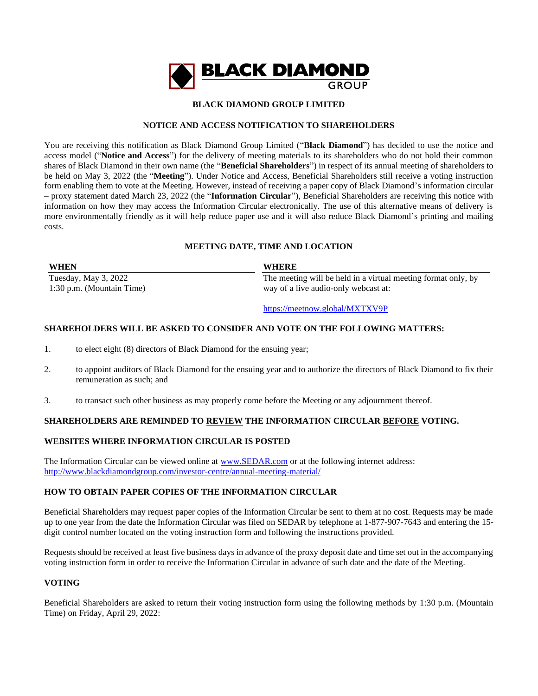

### **BLACK DIAMOND GROUP LIMITED**

### **NOTICE AND ACCESS NOTIFICATION TO SHAREHOLDERS**

You are receiving this notification as Black Diamond Group Limited ("**Black Diamond**") has decided to use the notice and access model ("**Notice and Access**") for the delivery of meeting materials to its shareholders who do not hold their common shares of Black Diamond in their own name (the "**Beneficial Shareholders**") in respect of its annual meeting of shareholders to be held on May 3, 2022 (the "**Meeting**"). Under Notice and Access, Beneficial Shareholders still receive a voting instruction form enabling them to vote at the Meeting. However, instead of receiving a paper copy of Black Diamond's information circular – proxy statement dated March 23, 2022 (the "**Information Circular**"), Beneficial Shareholders are receiving this notice with information on how they may access the Information Circular electronically. The use of this alternative means of delivery is more environmentally friendly as it will help reduce paper use and it will also reduce Black Diamond's printing and mailing costs.

# **MEETING DATE, TIME AND LOCATION**

| <b>WHEN</b>               | <b>WHERE</b>                                                  |
|---------------------------|---------------------------------------------------------------|
| Tuesday, May 3, 2022      | The meeting will be held in a virtual meeting format only, by |
| 1:30 p.m. (Mountain Time) | way of a live audio-only webcast at:                          |
|                           |                                                               |

<https://meetnow.global/MXTXV9P>

# **SHAREHOLDERS WILL BE ASKED TO CONSIDER AND VOTE ON THE FOLLOWING MATTERS:**

- 1. to elect eight (8) directors of Black Diamond for the ensuing year;
- 2. to appoint auditors of Black Diamond for the ensuing year and to authorize the directors of Black Diamond to fix their remuneration as such; and
- 3. to transact such other business as may properly come before the Meeting or any adjournment thereof.

# **SHAREHOLDERS ARE REMINDED TO REVIEW THE INFORMATION CIRCULAR BEFORE VOTING.**

### **WEBSITES WHERE INFORMATION CIRCULAR IS POSTED**

The Information Circular can be viewed online at [www.SEDAR.com](http://www.sedar.com/) or at the following internet address: <http://www.blackdiamondgroup.com/investor-centre/annual-meeting-material/>

### **HOW TO OBTAIN PAPER COPIES OF THE INFORMATION CIRCULAR**

Beneficial Shareholders may request paper copies of the Information Circular be sent to them at no cost. Requests may be made up to one year from the date the Information Circular was filed on SEDAR by telephone at 1-877-907-7643 and entering the 15 digit control number located on the voting instruction form and following the instructions provided.

Requests should be received at least five business days in advance of the proxy deposit date and time set out in the accompanying voting instruction form in order to receive the Information Circular in advance of such date and the date of the Meeting.

# **VOTING**

Beneficial Shareholders are asked to return their voting instruction form using the following methods by 1:30 p.m. (Mountain Time) on Friday, April 29, 2022: